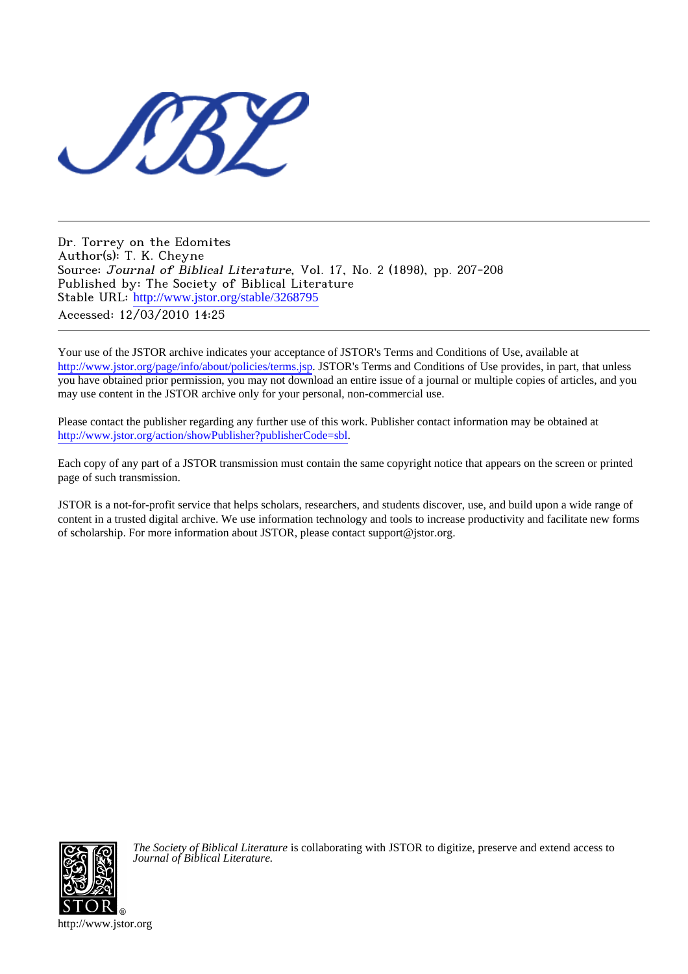

Dr. Torrey on the Edomites Author(s): T. K. Cheyne Source: Journal of Biblical Literature, Vol. 17, No. 2 (1898), pp. 207-208 Published by: The Society of Biblical Literature Stable URL: [http://www.jstor.org/stable/3268795](http://www.jstor.org/stable/3268795?origin=JSTOR-pdf) Accessed: 12/03/2010 14:25

Your use of the JSTOR archive indicates your acceptance of JSTOR's Terms and Conditions of Use, available at <http://www.jstor.org/page/info/about/policies/terms.jsp>. JSTOR's Terms and Conditions of Use provides, in part, that unless you have obtained prior permission, you may not download an entire issue of a journal or multiple copies of articles, and you may use content in the JSTOR archive only for your personal, non-commercial use.

Please contact the publisher regarding any further use of this work. Publisher contact information may be obtained at [http://www.jstor.org/action/showPublisher?publisherCode=sbl.](http://www.jstor.org/action/showPublisher?publisherCode=sbl)

Each copy of any part of a JSTOR transmission must contain the same copyright notice that appears on the screen or printed page of such transmission.

JSTOR is a not-for-profit service that helps scholars, researchers, and students discover, use, and build upon a wide range of content in a trusted digital archive. We use information technology and tools to increase productivity and facilitate new forms of scholarship. For more information about JSTOR, please contact support@jstor.org.



*The Society of Biblical Literature* is collaborating with JSTOR to digitize, preserve and extend access to *Journal of Biblical Literature.*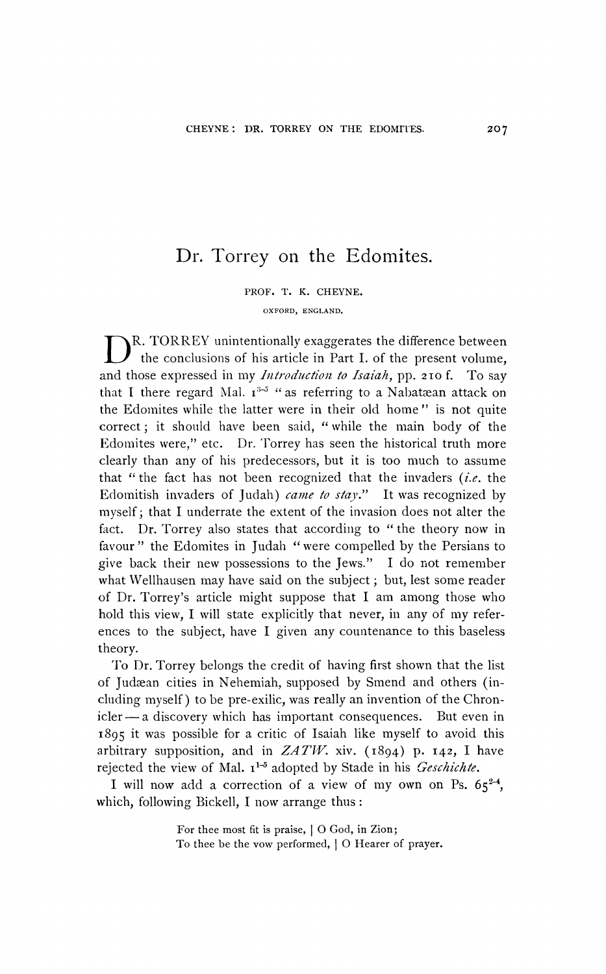## **Dr. Torrey on the Edomites.**

**PROF. T. K. CHEYNE. OXFORD, ENGLAND.** 

**D R. TORREY unintentionally exaggerates the difference between the conclusions of his article in Part I. of the present volume,**  and those expressed in my *Introduction to Isaiah*, pp. 210 f. To say that I there regard Mal.  $I^{3-3}$  " as referring to a Nabataean attack on **the Edomites while the latter were in their old home" is not quite correct; it should have been said, "while the main body of the Edomites were," etc. Dr. Torrey has seen the historical truth more clearly than any of his predecessors, but it is too much to assume that "the fact has not been recognized that the invaders (i.e. the Edomitish invaders of Judah) came to stay." It was recognized by myself; that I underrate the extent of the invasion does not alter the fact. Dr. Torrey also states that according to "the theory now in favour " the Edomites in Judah "were compelled by the Persians to give back their new possessions to the Jews." I do not remember what Wellhausen may have said on the subject; but, lest some reader of Dr. Torrey's article might suppose that I am among those who hold this view, I will state explicitly that never, in any of my references to the subject, have I given any countenance to this baseless theory.** 

**To Dr. Torrey belongs the credit of having first shown that the list of Judaan cities in Nehemiah, supposed by Smend and others (including myself) to be pre-exilic, was really an invention of the Chron**icler — a discovery which has important consequences. But even in **1895 it was possible for a critic of Isaiah like myself to avoid this**  arbitrary supposition, and in  $ZATW$ . xiv.  $(1894)$  p.  $142$ , I have rejected the view of Mal.  $i^{1-5}$  adopted by Stade in his *Geschichte*.

I will now add a correction of a view of my own on Ps.  $65^{24}$ , **which, following Bickell, I now arrange thus:** 

> **For thee most fit is praise, I 0 God, in Zion; To thee be the vow performed, I 0 Hearer of prayer.**